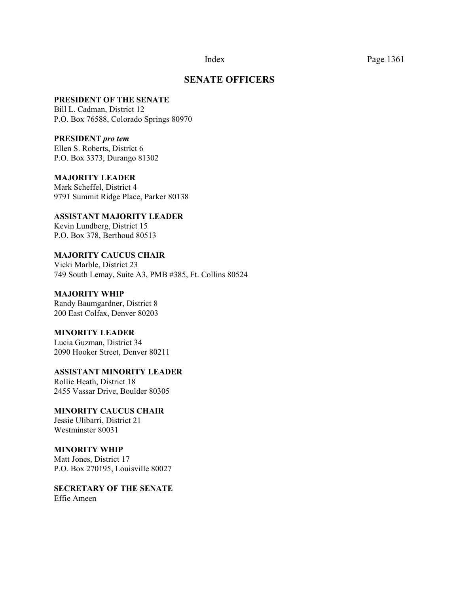#### **SENATE OFFICERS**

#### **PRESIDENT OF THE SENATE**

Bill L. Cadman, District 12 P.O. Box 76588, Colorado Springs 80970

#### **PRESIDENT** *pro tem*

Ellen S. Roberts, District 6 P.O. Box 3373, Durango 81302

#### **MAJORITY LEADER**

Mark Scheffel, District 4 9791 Summit Ridge Place, Parker 80138

# **ASSISTANT MAJORITY LEADER**

Kevin Lundberg, District 15 P.O. Box 378, Berthoud 80513

#### **MAJORITY CAUCUS CHAIR**  Vicki Marble, District 23

749 South Lemay, Suite A3, PMB #385, Ft. Collins 80524

### **MAJORITY WHIP**

Randy Baumgardner, District 8 200 East Colfax, Denver 80203

#### **MINORITY LEADER**

Lucia Guzman, District 34 2090 Hooker Street, Denver 80211

# **ASSISTANT MINORITY LEADER**

Rollie Heath, District 18 2455 Vassar Drive, Boulder 80305

#### **MINORITY CAUCUS CHAIR**  Jessie Ulibarri, District 21 Westminster 80031

#### **MINORITY WHIP** Matt Jones, District 17 P.O. Box 270195, Louisville 80027

**SECRETARY OF THE SENATE** Effie Ameen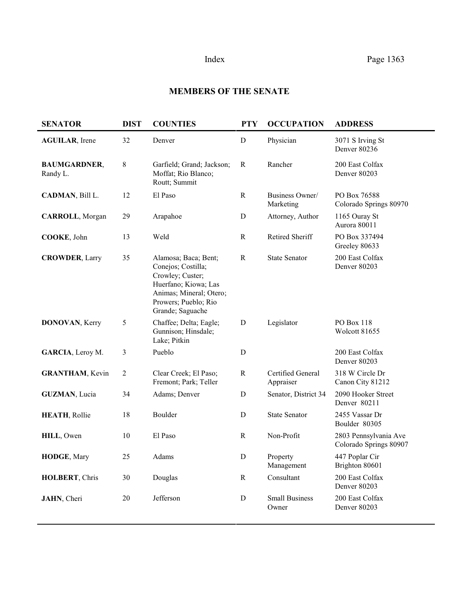## **MEMBERS OF THE SENATE**

| <b>SENATOR</b>                  | <b>DIST</b>    | <b>COUNTIES</b>                                                                                                                                               | <b>PTY</b>   | <b>OCCUPATION</b>              | <b>ADDRESS</b>                                  |
|---------------------------------|----------------|---------------------------------------------------------------------------------------------------------------------------------------------------------------|--------------|--------------------------------|-------------------------------------------------|
| <b>AGUILAR</b> , Irene          | 32             | Denver                                                                                                                                                        | $\mathbf D$  | Physician                      | 3071 S Irving St<br>Denver 80236                |
| <b>BAUMGARDNER,</b><br>Randy L. | 8              | Garfield; Grand; Jackson;<br>Moffat; Rio Blanco;<br>Routt; Summit                                                                                             | R            | Rancher                        | 200 East Colfax<br>Denver 80203                 |
| CADMAN, Bill L.                 | 12             | El Paso                                                                                                                                                       | ${\bf R}$    | Business Owner/<br>Marketing   | PO Box 76588<br>Colorado Springs 80970          |
| <b>CARROLL, Morgan</b>          | 29             | Arapahoe                                                                                                                                                      | D            | Attorney, Author               | 1165 Ouray St<br>Aurora 80011                   |
| COOKE, John                     | 13             | Weld                                                                                                                                                          | $\mathbf R$  | Retired Sheriff                | PO Box 337494<br>Greeley 80633                  |
| <b>CROWDER, Larry</b>           | 35             | Alamosa; Baca; Bent;<br>Conejos; Costilla;<br>Crowley; Custer;<br>Huerfano; Kiowa; Las<br>Animas; Mineral; Otero;<br>Prowers; Pueblo; Rio<br>Grande; Saguache | $\mathbb{R}$ | <b>State Senator</b>           | 200 East Colfax<br>Denver 80203                 |
| <b>DONOVAN, Kerry</b>           | 5              | Chaffee; Delta; Eagle;<br>Gunnison; Hinsdale;<br>Lake; Pitkin                                                                                                 | $\mathbf D$  | Legislator                     | PO Box 118<br><b>Wolcott 81655</b>              |
| GARCIA, Leroy M.                | 3              | Pueblo                                                                                                                                                        | $\mathbf D$  |                                | 200 East Colfax<br>Denver 80203                 |
| <b>GRANTHAM</b> , Kevin         | $\overline{2}$ | Clear Creek; El Paso;<br>Fremont; Park; Teller                                                                                                                | $\mathbf R$  | Certified General<br>Appraiser | 318 W Circle Dr<br>Canon City 81212             |
| <b>GUZMAN, Lucia</b>            | 34             | Adams; Denver                                                                                                                                                 | D            | Senator, District 34           | 2090 Hooker Street<br>Denver 80211              |
| <b>HEATH, Rollie</b>            | 18             | Boulder                                                                                                                                                       | $\mathbf D$  | <b>State Senator</b>           | 2455 Vassar Dr<br>Boulder 80305                 |
| HILL, Owen                      | 10             | El Paso                                                                                                                                                       | $\mathbb{R}$ | Non-Profit                     | 2803 Pennsylvania Ave<br>Colorado Springs 80907 |
| HODGE, Mary                     | 25             | Adams                                                                                                                                                         | ${\rm D}$    | Property<br>Management         | 447 Poplar Cir<br>Brighton 80601                |
| HOLBERT, Chris                  | 30             | Douglas                                                                                                                                                       | ${\bf R}$    | Consultant                     | 200 East Colfax<br>Denver 80203                 |
| JAHN, Cheri                     | 20             | Jefferson                                                                                                                                                     | $\mathbf D$  | <b>Small Business</b><br>Owner | 200 East Colfax<br>Denver 80203                 |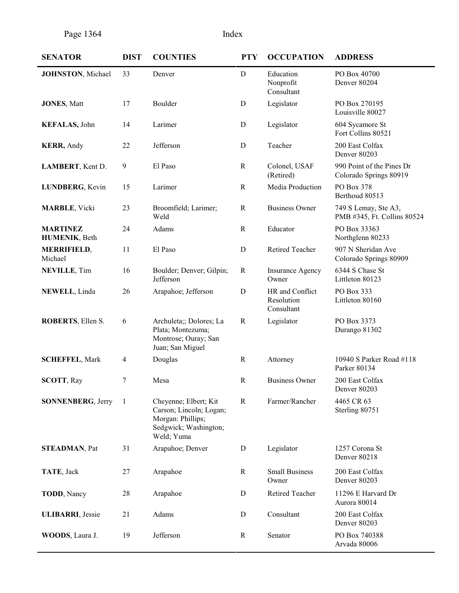| <b>SENATOR</b>                   | <b>DIST</b>    | <b>COUNTIES</b>                                                                                              | <b>PTY</b>   | <b>OCCUPATION</b>                           | <b>ADDRESS</b>                                      |
|----------------------------------|----------------|--------------------------------------------------------------------------------------------------------------|--------------|---------------------------------------------|-----------------------------------------------------|
| <b>JOHNSTON, Michael</b>         | 33             | Denver                                                                                                       | $\mathbf D$  | Education<br>Nonprofit<br>Consultant        | PO Box 40700<br>Denver 80204                        |
| <b>JONES, Matt</b>               | 17             | Boulder                                                                                                      | ${\bf D}$    | Legislator                                  | PO Box 270195<br>Louisville 80027                   |
| <b>KEFALAS</b> , John            | 14             | Larimer                                                                                                      | D            | Legislator                                  | 604 Sycamore St<br>Fort Collins 80521               |
| <b>KERR</b> , Andy               | 22             | Jefferson                                                                                                    | $\mathbf D$  | Teacher                                     | 200 East Colfax<br>Denver 80203                     |
| LAMBERT, Kent D.                 | 9              | El Paso                                                                                                      | $\mathbf R$  | Colonel, USAF<br>(Retired)                  | 990 Point of the Pines Dr<br>Colorado Springs 80919 |
| LUNDBERG, Kevin                  | 15             | Larimer                                                                                                      | $\mathbb{R}$ | Media Production                            | PO Box 378<br>Berthoud 80513                        |
| <b>MARBLE</b> , Vicki            | 23             | Broomfield; Larimer;<br>Weld                                                                                 | $\mathbf R$  | <b>Business Owner</b>                       | 749 S Lemay, Ste A3,<br>PMB #345, Ft. Collins 80524 |
| <b>MARTINEZ</b><br>HUMENIK, Beth | 24             | Adams                                                                                                        | $\mathbf R$  | Educator                                    | PO Box 33363<br>Northglenn 80233                    |
| <b>MERRIFIELD,</b><br>Michael    | 11             | El Paso                                                                                                      | ${\bf D}$    | Retired Teacher                             | 907 N Sheridan Ave<br>Colorado Springs 80909        |
| <b>NEVILLE, Tim</b>              | 16             | Boulder; Denver; Gilpin;<br>Jefferson                                                                        | $\mathbf R$  | <b>Insurance Agency</b><br>Owner            | 6344 S Chase St<br>Littleton 80123                  |
| NEWELL, Linda                    | 26             | Arapahoe; Jefferson                                                                                          | ${\bf D}$    | HR and Conflict<br>Resolution<br>Consultant | PO Box 333<br>Littleton 80160                       |
| ROBERTS, Ellen S.                | 6              | Archuleta;; Dolores; La<br>Plata; Montezuma;<br>Montrose; Ouray; San<br>Juan; San Miguel                     | $\mathbb{R}$ | Legislator                                  | PO Box 3373<br>Durango 81302                        |
| <b>SCHEFFEL, Mark</b>            | $\overline{4}$ | Douglas                                                                                                      | $\mathbf R$  | Attorney                                    | 10940 S Parker Road #118<br>Parker 80134            |
| <b>SCOTT, Ray</b>                | 7              | Mesa                                                                                                         | $\mathbf R$  | <b>Business Owner</b>                       | 200 East Colfax<br>Denver 80203                     |
| <b>SONNENBERG, Jerry</b>         | -1             | Cheyenne; Elbert; Kit<br>Carson; Lincoln; Logan;<br>Morgan: Phillips;<br>Sedgwick; Washington;<br>Weld; Yuma | $\mathbf R$  | Farmer/Rancher                              | 4465 CR 63<br>Sterling 80751                        |
| <b>STEADMAN, Pat</b>             | 31             | Arapahoe; Denver                                                                                             | D            | Legislator                                  | 1257 Corona St<br>Denver 80218                      |
| TATE, Jack                       | 27             | Arapahoe                                                                                                     | $\mathbf R$  | <b>Small Business</b><br>Owner              | 200 East Colfax<br>Denver 80203                     |
| <b>TODD</b> , Nancy              | 28             | Arapahoe                                                                                                     | D            | Retired Teacher                             | 11296 E Harvard Dr<br>Aurora 80014                  |
| <b>ULIBARRI</b> , Jessie         | 21             | Adams                                                                                                        | D            | Consultant                                  | 200 East Colfax<br>Denver 80203                     |
| WOODS, Laura J.                  | 19             | Jefferson                                                                                                    | $\mathbf R$  | Senator                                     | PO Box 740388<br>Arvada 80006                       |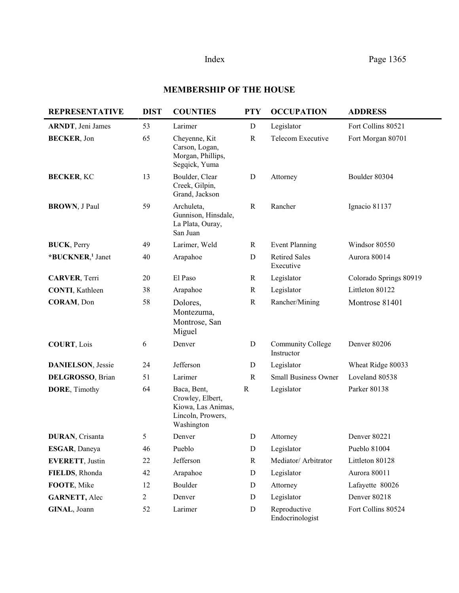# Index Page 1365

# **MEMBERSHIP OF THE HOUSE**

| <b>REPRESENTATIVE</b>        | <b>DIST</b>    | <b>COUNTIES</b>                                                                          | <b>PTY</b>   | <b>OCCUPATION</b>                 | <b>ADDRESS</b>         |
|------------------------------|----------------|------------------------------------------------------------------------------------------|--------------|-----------------------------------|------------------------|
| <b>ARNDT</b> , Jeni James    | 53             | Larimer                                                                                  | ${\bf D}$    | Legislator                        | Fort Collins 80521     |
| <b>BECKER, Jon</b>           | 65             | Cheyenne, Kit<br>Carson, Logan,<br>Morgan, Phillips,<br>Segqick, Yuma                    | $\mathbf R$  | Telecom Executive                 | Fort Morgan 80701      |
| <b>BECKER, KC</b>            | 13             | Boulder, Clear<br>Creek, Gilpin,<br>Grand, Jackson                                       | D            | Attorney                          | Boulder 80304          |
| <b>BROWN</b> , J Paul        | 59             | Archuleta,<br>Gunnison, Hinsdale,<br>La Plata, Ouray,<br>San Juan                        | $\mathbb{R}$ | Rancher                           | Ignacio 81137          |
| <b>BUCK</b> , Perry          | 49             | Larimer, Weld                                                                            | $\mathbf R$  | <b>Event Planning</b>             | Windsor 80550          |
| *BUCKNER, <sup>1</sup> Janet | 40             | Arapahoe                                                                                 | $\mathbf D$  | <b>Retired Sales</b><br>Executive | Aurora 80014           |
| <b>CARVER, Terri</b>         | 20             | El Paso                                                                                  | $\mathbf R$  | Legislator                        | Colorado Springs 80919 |
| <b>CONTI</b> , Kathleen      | 38             | Arapahoe                                                                                 | $\mathbf R$  | Legislator                        | Littleton 80122        |
| CORAM, Don                   | 58             | Dolores,<br>Montezuma,<br>Montrose, San<br>Miguel                                        | $\mathbf R$  | Rancher/Mining                    | Montrose 81401         |
| <b>COURT, Lois</b>           | 6              | Denver                                                                                   | ${\bf D}$    | Community College<br>Instructor   | Denver 80206           |
| <b>DANIELSON</b> , Jessie    | 24             | Jefferson                                                                                | $\mathbf D$  | Legislator                        | Wheat Ridge 80033      |
| DELGROSSO, Brian             | 51             | Larimer                                                                                  | $\mathbb{R}$ | <b>Small Business Owner</b>       | Loveland 80538         |
| DORE, Timothy                | 64             | Baca, Bent,<br>Crowley, Elbert,<br>Kiowa, Las Animas,<br>Lincoln, Prowers,<br>Washington | $\mathbb{R}$ | Legislator                        | Parker 80138           |
| <b>DURAN, Crisanta</b>       | 5              | Denver                                                                                   | D            | Attorney                          | Denver 80221           |
| ESGAR, Daneya                | 46             | Pueblo                                                                                   | ${\bf D}$    | Legislator                        | Pueblo 81004           |
| <b>EVERETT, Justin</b>       | 22             | Jefferson                                                                                | $\mathbf R$  | Mediator/ Arbitrator              | Littleton 80128        |
| FIELDS, Rhonda               | 42             | Arapahoe                                                                                 | $\mathbf D$  | Legislator                        | Aurora 80011           |
| FOOTE, Mike                  | 12             | Boulder                                                                                  | D            | Attorney                          | Lafayette 80026        |
| <b>GARNETT, Alec</b>         | $\overline{2}$ | Denver                                                                                   | $\mathbf D$  | Legislator                        | <b>Denver 80218</b>    |
| GINAL, Joann                 | 52             | Larimer                                                                                  | $\mathbf D$  | Reproductive<br>Endocrinologist   | Fort Collins 80524     |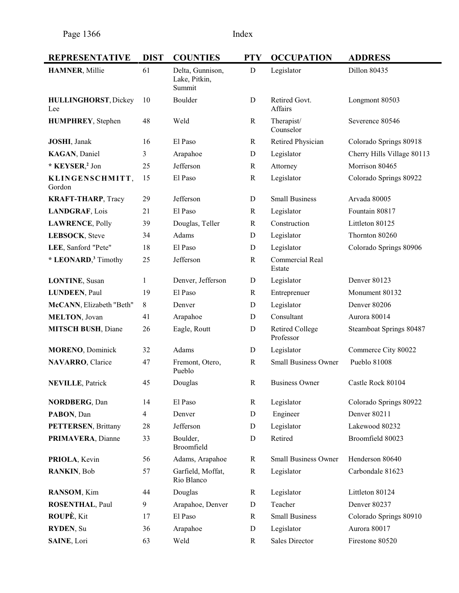| <b>REPRESENTATIVE</b>              | <b>DIST</b> | <b>COUNTIES</b>                             | <b>PTY</b>   | <b>OCCUPATION</b>                   | <b>ADDRESS</b>             |
|------------------------------------|-------------|---------------------------------------------|--------------|-------------------------------------|----------------------------|
| <b>HAMNER, Millie</b>              | 61          | Delta, Gunnison,<br>Lake, Pitkin,<br>Summit | $\mathbf D$  | Legislator                          | Dillon 80435               |
| <b>HULLINGHORST, Dickey</b><br>Lee | 10          | Boulder                                     | D            | Retired Govt.<br>Affairs            | Longmont 80503             |
| <b>HUMPHREY</b> , Stephen          | 48          | Weld                                        | R            | Therapist/<br>Counselor             | Severence 80546            |
| <b>JOSHI</b> , Janak               | 16          | El Paso                                     | R            | Retired Physician                   | Colorado Springs 80918     |
| KAGAN, Daniel                      | 3           | Arapahoe                                    | D            | Legislator                          | Cherry Hills Village 80113 |
| * KEYSER, <sup>2</sup> Jon         | 25          | Jefferson                                   | $\mathbb{R}$ | Attorney                            | Morrison 80465             |
| KLINGENSCHMITT,<br>Gordon          | 15          | El Paso                                     | R            | Legislator                          | Colorado Springs 80922     |
| <b>KRAFT-THARP</b> , Tracy         | 29          | Jefferson                                   | D            | <b>Small Business</b>               | Arvada 80005               |
| LANDGRAF, Lois                     | 21          | El Paso                                     | R            | Legislator                          | Fountain 80817             |
| <b>LAWRENCE, Polly</b>             | 39          | Douglas, Teller                             | R            | Construction                        | Littleton 80125            |
| LEBSOCK, Steve                     | 34          | Adams                                       | D            | Legislator                          | Thornton 80260             |
| LEE, Sanford "Pete"                | 18          | El Paso                                     | D            | Legislator                          | Colorado Springs 80906     |
| * LEONARD, <sup>3</sup> Timothy    | 25          | Jefferson                                   | $\mathbb{R}$ | Commercial Real<br>Estate           |                            |
| <b>LONTINE, Susan</b>              | 1           | Denver, Jefferson                           | D            | Legislator                          | Denver 80123               |
| <b>LUNDEEN, Paul</b>               | 19          | El Paso                                     | R            | Entreprenuer                        | Monument 80132             |
| McCANN, Elizabeth "Beth"           | 8           | Denver                                      | D            | Legislator                          | Denver 80206               |
| <b>MELTON, Jovan</b>               | 41          | Arapahoe                                    | D            | Consultant                          | Aurora 80014               |
| <b>MITSCH BUSH, Diane</b>          | 26          | Eagle, Routt                                | D            | <b>Retired College</b><br>Professor | Steamboat Springs 80487    |
| <b>MORENO</b> , Dominick           | 32          | Adams                                       | D            | Legislator                          | Commerce City 80022        |
| NAVARRO, Clarice                   | 47          | Fremont, Otero,<br>Pueblo                   | $\mathbf R$  | <b>Small Business Owner</b>         | Pueblo 81008               |
| <b>NEVILLE, Patrick</b>            | 45          | Douglas                                     | R            | <b>Business Owner</b>               | Castle Rock 80104          |
| <b>NORDBERG, Dan</b>               | 14          | El Paso                                     | $\mathbf R$  | Legislator                          | Colorado Springs 80922     |
| PABON, Dan                         | 4           | Denver                                      | D            | Engineer                            | Denver 80211               |
| <b>PETTERSEN, Brittany</b>         | 28          | Jefferson                                   | D            | Legislator                          | Lakewood 80232             |
| PRIMAVERA, Dianne                  | 33          | Boulder,<br>Broomfield                      | D            | Retired                             | Broomfield 80023           |
| PRIOLA, Kevin                      | 56          | Adams, Arapahoe                             | R            | <b>Small Business Owner</b>         | Henderson 80640            |
| RANKIN, Bob                        | 57          | Garfield, Moffat,<br>Rio Blanco             | $\mathbf R$  | Legislator                          | Carbondale 81623           |
| RANSOM, Kim                        | 44          | Douglas                                     | R            | Legislator                          | Littleton 80124            |
| <b>ROSENTHAL, Paul</b>             | 9           | Arapahoe, Denver                            | D            | Teacher                             | Denver 80237               |
| ROUPE, Kit                         | 17          | El Paso                                     | $\mathbb{R}$ | <b>Small Business</b>               | Colorado Springs 80910     |
| RYDEN, Su                          | 36          | Arapahoe                                    | D            | Legislator                          | Aurora 80017               |
| SAINE, Lori                        | 63          | Weld                                        | R            | <b>Sales Director</b>               | Firestone 80520            |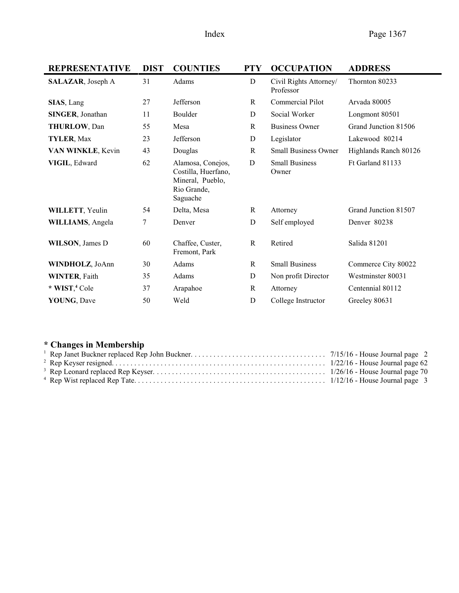| <b>REPRESENTATIVE</b>     | <b>DIST</b> | <b>COUNTIES</b>                                                                         | <b>PTY</b>   | <b>OCCUPATION</b>                   | <b>ADDRESS</b>        |
|---------------------------|-------------|-----------------------------------------------------------------------------------------|--------------|-------------------------------------|-----------------------|
| SALAZAR, Joseph A         | 31          | Adams                                                                                   | D            | Civil Rights Attorney/<br>Professor | Thornton 80233        |
| SIAS, Lang                | 27          | Jefferson                                                                               | R            | Commercial Pilot                    | Arvada 80005          |
| <b>SINGER, Jonathan</b>   | 11          | Boulder                                                                                 | D            | Social Worker                       | Longmont 80501        |
| <b>THURLOW, Dan</b>       | 55          | Mesa                                                                                    | $\mathbb{R}$ | <b>Business Owner</b>               | Grand Junction 81506  |
| TYLER, Max                | 23          | Jefferson                                                                               | ${\bf D}$    | Legislator                          | Lakewood 80214        |
| VAN WINKLE, Kevin         | 43          | Douglas                                                                                 | R            | <b>Small Business Owner</b>         | Highlands Ranch 80126 |
| VIGIL, Edward             | 62          | Alamosa, Conejos,<br>Costilla, Huerfano,<br>Mineral, Pueblo,<br>Rio Grande,<br>Saguache | D            | <b>Small Business</b><br>Owner      | Ft Garland 81133      |
| WILLETT, Yeulin           | 54          | Delta, Mesa                                                                             | R            | Attorney                            | Grand Junction 81507  |
| <b>WILLIAMS</b> , Angela  | 7           | Denver                                                                                  | D            | Self employed                       | Denver 80238          |
| <b>WILSON</b> , James D   | 60          | Chaffee, Custer,<br>Fremont, Park                                                       | $\mathbb{R}$ | Retired                             | Salida 81201          |
| WINDHOLZ, JoAnn           | 30          | Adams                                                                                   | R            | <b>Small Business</b>               | Commerce City 80022   |
| <b>WINTER, Faith</b>      | 35          | Adams                                                                                   | D            | Non profit Director                 | Westminster 80031     |
| * WIST, <sup>4</sup> Cole | 37          | Arapahoe                                                                                | $\mathbb{R}$ | Attorney                            | Centennial 80112      |
| YOUNG, Dave               | 50          | Weld                                                                                    | D            | College Instructor                  | Greeley 80631         |

# \* **Changes in Membership**<br><sup>1</sup> Rep. Janet Buckner replaced Rep.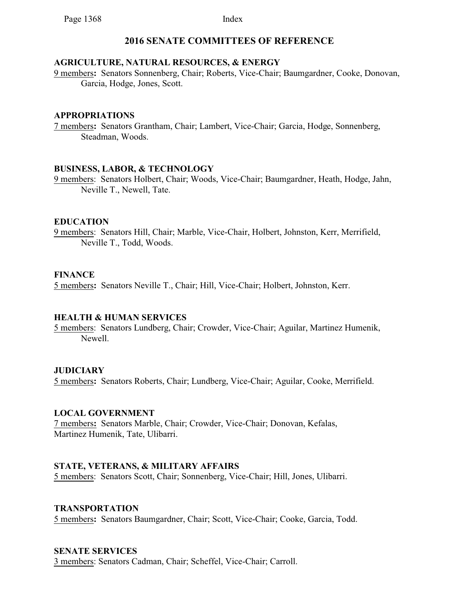## **2016 SENATE COMMITTEES OF REFERENCE**

### **AGRICULTURE, NATURAL RESOURCES, & ENERGY**

9 members**:** Senators Sonnenberg, Chair; Roberts, Vice-Chair; Baumgardner, Cooke, Donovan, Garcia, Hodge, Jones, Scott.

#### **APPROPRIATIONS**

7 members**:** Senators Grantham, Chair; Lambert, Vice-Chair; Garcia, Hodge, Sonnenberg, Steadman, Woods.

### **BUSINESS, LABOR, & TECHNOLOGY**

9 members: Senators Holbert, Chair; Woods, Vice-Chair; Baumgardner, Heath, Hodge, Jahn, Neville T., Newell, Tate.

### **EDUCATION**

9 members: Senators Hill, Chair; Marble, Vice-Chair, Holbert, Johnston, Kerr, Merrifield, Neville T., Todd, Woods.

### **FINANCE**

5 members**:** Senators Neville T., Chair; Hill, Vice-Chair; Holbert, Johnston, Kerr.

## **HEALTH & HUMAN SERVICES**

5 members: Senators Lundberg, Chair; Crowder, Vice-Chair; Aguilar, Martinez Humenik, Newell.

## **JUDICIARY**

5 members**:** Senators Roberts, Chair; Lundberg, Vice-Chair; Aguilar, Cooke, Merrifield.

## **LOCAL GOVERNMENT**

7 members**:** Senators Marble, Chair; Crowder, Vice-Chair; Donovan, Kefalas, Martinez Humenik, Tate, Ulibarri.

## **STATE, VETERANS, & MILITARY AFFAIRS**

5 members: Senators Scott, Chair; Sonnenberg, Vice-Chair; Hill, Jones, Ulibarri.

#### **TRANSPORTATION**

5 members**:** Senators Baumgardner, Chair; Scott, Vice-Chair; Cooke, Garcia, Todd.

## **SENATE SERVICES**

3 members: Senators Cadman, Chair; Scheffel, Vice-Chair; Carroll.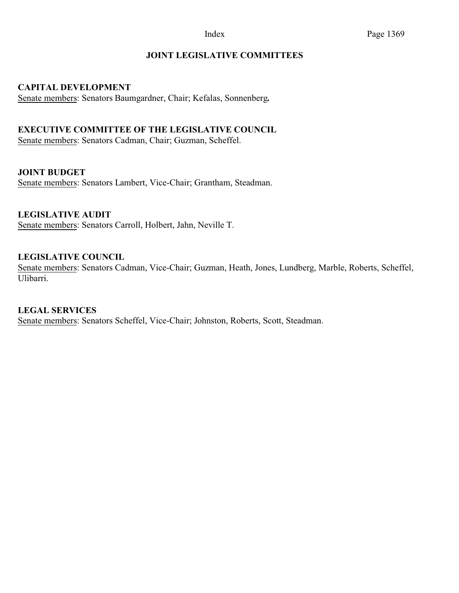## **JOINT LEGISLATIVE COMMITTEES**

### **CAPITAL DEVELOPMENT**

Senate members: Senators Baumgardner, Chair; Kefalas, Sonnenberg**.**

## **EXECUTIVE COMMITTEE OF THE LEGISLATIVE COUNCIL**

Senate members: Senators Cadman, Chair; Guzman, Scheffel.

### **JOINT BUDGET**

Senate members: Senators Lambert, Vice-Chair; Grantham, Steadman.

## **LEGISLATIVE AUDIT**

Senate members: Senators Carroll, Holbert, Jahn, Neville T.

### **LEGISLATIVE COUNCIL**

Senate members: Senators Cadman, Vice-Chair; Guzman, Heath, Jones, Lundberg, Marble, Roberts, Scheffel, Ulibarri.

#### **LEGAL SERVICES**

Senate members: Senators Scheffel, Vice-Chair; Johnston, Roberts, Scott, Steadman.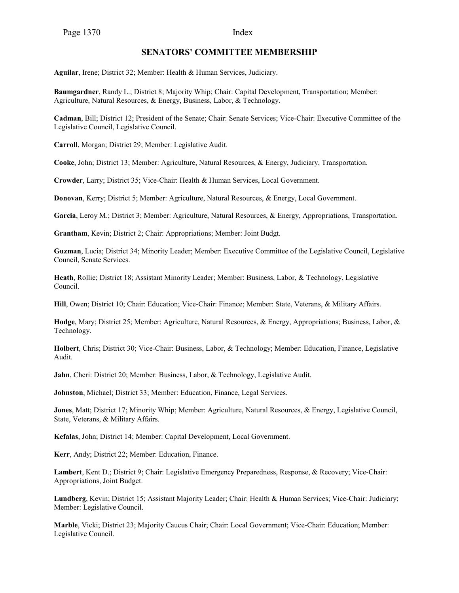### **SENATORS' COMMITTEE MEMBERSHIP**

**Aguilar**, Irene; District 32; Member: Health & Human Services, Judiciary.

**Baumgardner**, Randy L.; District 8; Majority Whip; Chair: Capital Development, Transportation; Member: Agriculture, Natural Resources, & Energy, Business, Labor, & Technology.

**Cadman**, Bill; District 12; President of the Senate; Chair: Senate Services; Vice-Chair: Executive Committee of the Legislative Council, Legislative Council.

**Carroll**, Morgan; District 29; Member: Legislative Audit.

**Cooke**, John; District 13; Member: Agriculture, Natural Resources, & Energy, Judiciary, Transportation.

**Crowder**, Larry; District 35; Vice-Chair: Health & Human Services, Local Government.

**Donovan**, Kerry; District 5; Member: Agriculture, Natural Resources, & Energy, Local Government.

**Garcia**, Leroy M.; District 3; Member: Agriculture, Natural Resources, & Energy, Appropriations, Transportation.

**Grantham**, Kevin; District 2; Chair: Appropriations; Member: Joint Budgt.

**Guzman**, Lucia; District 34; Minority Leader; Member: Executive Committee of the Legislative Council, Legislative Council, Senate Services.

**Heath**, Rollie; District 18; Assistant Minority Leader; Member: Business, Labor, & Technology, Legislative Council.

**Hill**, Owen; District 10; Chair: Education; Vice-Chair: Finance; Member: State, Veterans, & Military Affairs.

**Hodge**, Mary; District 25; Member: Agriculture, Natural Resources, & Energy, Appropriations; Business, Labor, & Technology.

**Holbert**, Chris; District 30; Vice-Chair: Business, Labor, & Technology; Member: Education, Finance, Legislative Audit.

**Jahn**, Cheri: District 20; Member: Business, Labor, & Technology, Legislative Audit.

**Johnston**, Michael; District 33; Member: Education, Finance, Legal Services.

**Jones**, Matt; District 17; Minority Whip; Member: Agriculture, Natural Resources, & Energy, Legislative Council, State, Veterans, & Military Affairs.

**Kefalas**, John; District 14; Member: Capital Development, Local Government.

**Kerr**, Andy; District 22; Member: Education, Finance.

**Lambert**, Kent D.; District 9; Chair: Legislative Emergency Preparedness, Response, & Recovery; Vice-Chair: Appropriations, Joint Budget.

**Lundberg**, Kevin; District 15; Assistant Majority Leader; Chair: Health & Human Services; Vice-Chair: Judiciary; Member: Legislative Council.

**Marble**, Vicki; District 23; Majority Caucus Chair; Chair: Local Government; Vice-Chair: Education; Member: Legislative Council.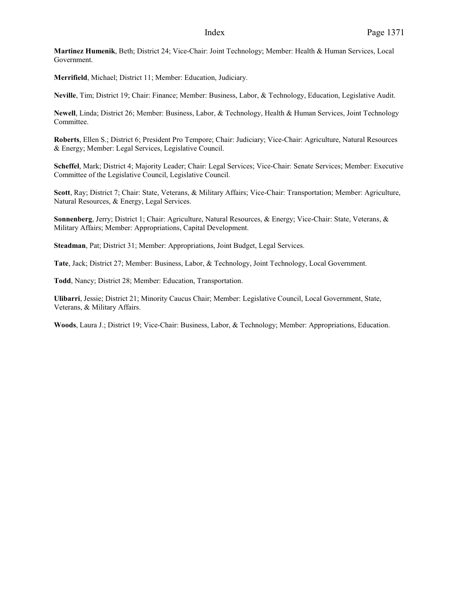**Martinez Humenik**, Beth; District 24; Vice-Chair: Joint Technology; Member: Health & Human Services, Local Government.

**Merrifield**, Michael; District 11; Member: Education, Judiciary.

**Neville**, Tim; District 19; Chair: Finance; Member: Business, Labor, & Technology, Education, Legislative Audit.

**Newell**, Linda; District 26; Member: Business, Labor, & Technology, Health & Human Services, Joint Technology Committee.

**Roberts**, Ellen S.; District 6; President Pro Tempore; Chair: Judiciary; Vice-Chair: Agriculture, Natural Resources & Energy; Member: Legal Services, Legislative Council.

**Scheffel**, Mark; District 4; Majority Leader; Chair: Legal Services; Vice-Chair: Senate Services; Member: Executive Committee of the Legislative Council, Legislative Council.

**Scott**, Ray; District 7; Chair: State, Veterans, & Military Affairs; Vice-Chair: Transportation; Member: Agriculture, Natural Resources, & Energy, Legal Services.

**Sonnenberg**, Jerry; District 1; Chair: Agriculture, Natural Resources, & Energy; Vice-Chair: State, Veterans, & Military Affairs; Member: Appropriations, Capital Development.

**Steadman**, Pat; District 31; Member: Appropriations, Joint Budget, Legal Services.

**Tate**, Jack; District 27; Member: Business, Labor, & Technology, Joint Technology, Local Government.

**Todd**, Nancy; District 28; Member: Education, Transportation.

**Ulibarri**, Jessie; District 21; Minority Caucus Chair; Member: Legislative Council, Local Government, State, Veterans, & Military Affairs.

**Woods**, Laura J.; District 19; Vice-Chair: Business, Labor, & Technology; Member: Appropriations, Education.